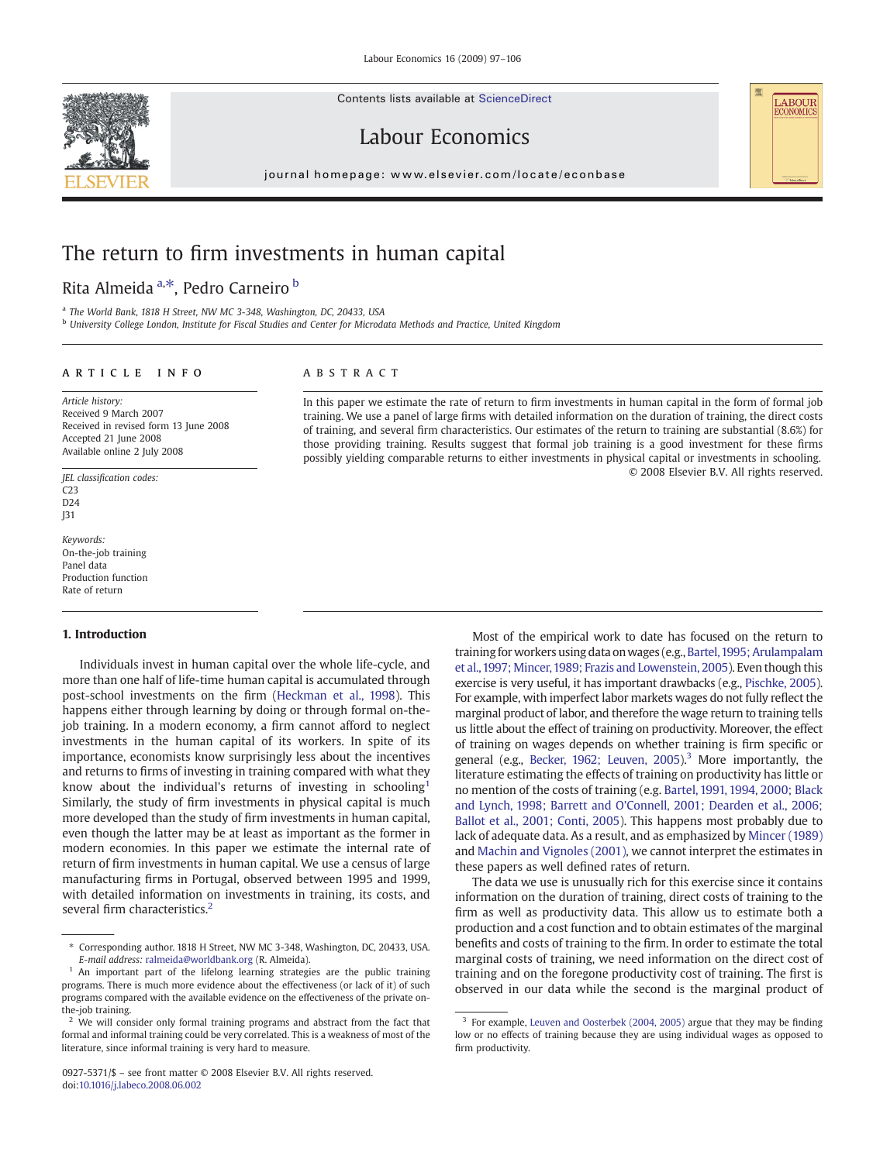Contents lists available at ScienceDirect





# Labour Economics

journal homepage: www.elsevier.com/locate/econbase  $j$  or expression and  $i$  is even if the common order

# The return to firm investments in human capital

## Rita Almeida <sup>a,\*</sup>, Pedro Carneiro <sup>b</sup>

<sup>a</sup> The World Bank, 1818 H Street, NW MC 3-348, Washington, DC, 20433, USA

<sup>b</sup> University College London, Institute for Fiscal Studies and Center for Microdata Methods and Practice, United Kingdom

### article info abstract

Article history: Received 9 March 2007 Received in revised form 13 June 2008 Accepted 21 June 2008 Available online 2 July 2008

JEL classification codes: C23  $D24$ J31

Keywords: On-the-job training Panel data Production function Rate of return

#### 1. Introduction

Individuals invest in human capital over the whole life-cycle, and more than one half of life-time human capital is accumulated through post-school investments on the firm ([Heckman et al., 1998\)](#page--1-0). This happens either through learning by doing or through formal on-thejob training. In a modern economy, a firm cannot afford to neglect investments in the human capital of its workers. In spite of its importance, economists know surprisingly less about the incentives and returns to firms of investing in training compared with what they know about the individual's returns of investing in schooling<sup>1</sup> Similarly, the study of firm investments in physical capital is much more developed than the study of firm investments in human capital, even though the latter may be at least as important as the former in modern economies. In this paper we estimate the internal rate of return of firm investments in human capital. We use a census of large manufacturing firms in Portugal, observed between 1995 and 1999, with detailed information on investments in training, its costs, and several firm characteristics.<sup>2</sup>

In this paper we estimate the rate of return to firm investments in human capital in the form of formal job training. We use a panel of large firms with detailed information on the duration of training, the direct costs of training, and several firm characteristics. Our estimates of the return to training are substantial (8.6%) for those providing training. Results suggest that formal job training is a good investment for these firms possibly yielding comparable returns to either investments in physical capital or investments in schooling. © 2008 Elsevier B.V. All rights reserved.

> Most of the empirical work to date has focused on the return to training for workers using data on wages (e.g., Bartel, 1995; Arulampalam [et al.,1997; Mincer,1989; Frazis and Lowenstein, 2005\)](#page--1-0). Even though this exercise is very useful, it has important drawbacks (e.g., [Pischke, 2005\)](#page--1-0). For example, with imperfect labor markets wages do not fully reflect the marginal product of labor, and therefore the wage return to training tells us little about the effect of training on productivity. Moreover, the effect of training on wages depends on whether training is firm specific or general (e.g., [Becker, 1962; Leuven, 2005](#page--1-0)).<sup>3</sup> More importantly, the literature estimating the effects of training on productivity has little or no mention of the costs of training (e.g. [Bartel, 1991, 1994, 2000; Black](#page--1-0) [and Lynch, 1998; Barrett and O'Connell, 2001; Dearden et al., 2006;](#page--1-0) [Ballot et al., 2001; Conti, 2005\)](#page--1-0). This happens most probably due to lack of adequate data. As a result, and as emphasized by [Mincer \(1989\)](#page--1-0) and [Machin and Vignoles \(2001\)](#page--1-0), we cannot interpret the estimates in these papers as well defined rates of return.

> The data we use is unusually rich for this exercise since it contains information on the duration of training, direct costs of training to the firm as well as productivity data. This allow us to estimate both a production and a cost function and to obtain estimates of the marginal benefits and costs of training to the firm. In order to estimate the total marginal costs of training, we need information on the direct cost of training and on the foregone productivity cost of training. The first is observed in our data while the second is the marginal product of

<sup>⁎</sup> Corresponding author. 1818 H Street, NW MC 3-348, Washington, DC, 20433, USA. E-mail address: [ralmeida@worldbank.org](mailto:ralmeida@worldbank.org) (R. Almeida).

<sup>&</sup>lt;sup>1</sup> An important part of the lifelong learning strategies are the public training programs. There is much more evidence about the effectiveness (or lack of it) of such programs compared with the available evidence on the effectiveness of the private onthe-job training.

We will consider only formal training programs and abstract from the fact that formal and informal training could be very correlated. This is a weakness of most of the literature, since informal training is very hard to measure.

<sup>0927-5371/\$</sup> – see front matter © 2008 Elsevier B.V. All rights reserved. doi:[10.1016/j.labeco.2008.06.002](http://dx.doi.org/10.1016/j.labeco.2008.06.002)

<sup>&</sup>lt;sup>3</sup> For example, [Leuven and Oosterbek \(2004, 2005\)](#page--1-0) argue that they may be finding low or no effects of training because they are using individual wages as opposed to firm productivity.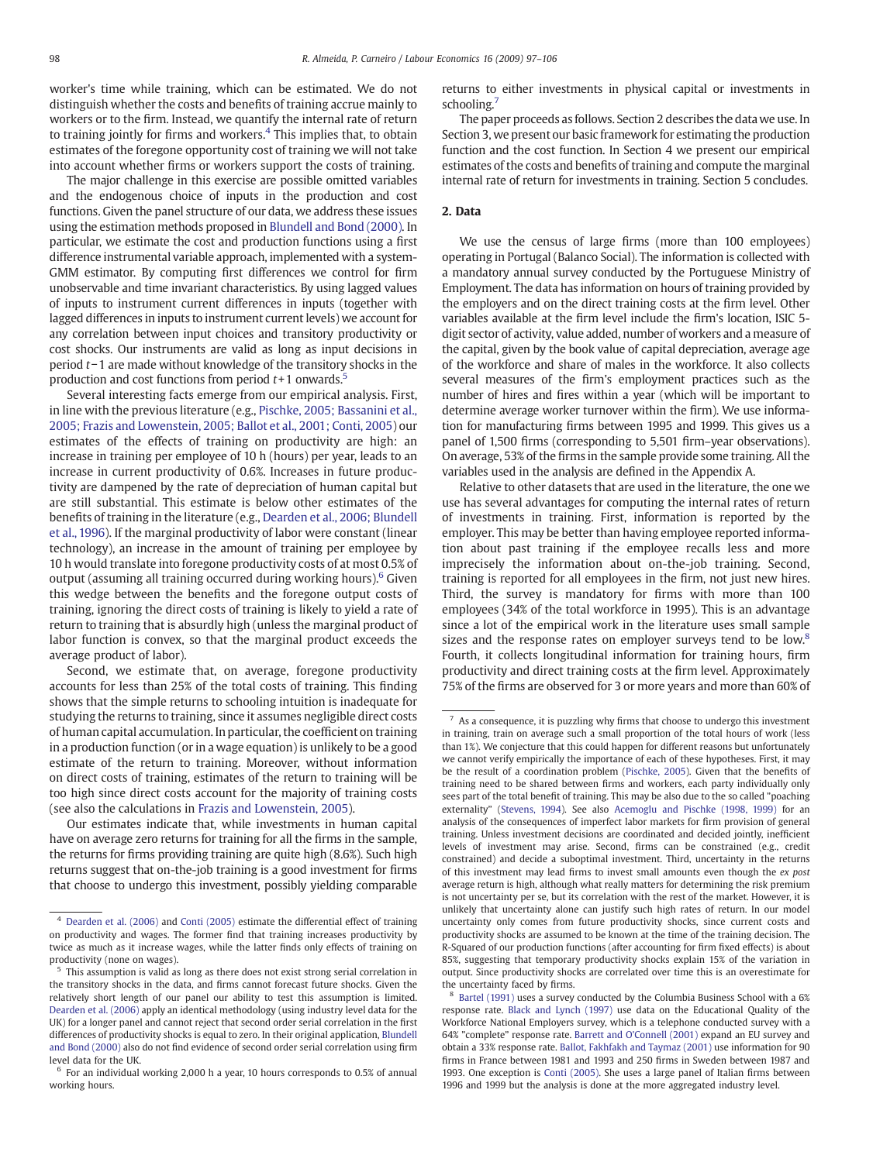worker's time while training, which can be estimated. We do not distinguish whether the costs and benefits of training accrue mainly to workers or to the firm. Instead, we quantify the internal rate of return to training jointly for firms and workers.<sup>4</sup> This implies that, to obtain estimates of the foregone opportunity cost of training we will not take into account whether firms or workers support the costs of training.

The major challenge in this exercise are possible omitted variables and the endogenous choice of inputs in the production and cost functions. Given the panel structure of our data, we address these issues using the estimation methods proposed in [Blundell and Bond \(2000\)](#page--1-0). In particular, we estimate the cost and production functions using a first difference instrumental variable approach, implemented with a system-GMM estimator. By computing first differences we control for firm unobservable and time invariant characteristics. By using lagged values of inputs to instrument current differences in inputs (together with lagged differences in inputs to instrument current levels) we account for any correlation between input choices and transitory productivity or cost shocks. Our instruments are valid as long as input decisions in period t−1 are made without knowledge of the transitory shocks in the production and cost functions from period  $t+1$  onwards.<sup>5</sup>

Several interesting facts emerge from our empirical analysis. First, in line with the previous literature (e.g., [Pischke, 2005; Bassanini et al.,](#page--1-0) [2005; Frazis and Lowenstein, 2005; Ballot et al., 2001; Conti, 2005\)](#page--1-0) our estimates of the effects of training on productivity are high: an increase in training per employee of 10 h (hours) per year, leads to an increase in current productivity of 0.6%. Increases in future productivity are dampened by the rate of depreciation of human capital but are still substantial. This estimate is below other estimates of the benefits of training in the literature (e.g., [Dearden et al., 2006; Blundell](#page--1-0) [et al., 1996\)](#page--1-0). If the marginal productivity of labor were constant (linear technology), an increase in the amount of training per employee by 10 h would translate into foregone productivity costs of at most 0.5% of output (assuming all training occurred during working hours).<sup>6</sup> Given this wedge between the benefits and the foregone output costs of training, ignoring the direct costs of training is likely to yield a rate of return to training that is absurdly high (unless the marginal product of labor function is convex, so that the marginal product exceeds the average product of labor).

Second, we estimate that, on average, foregone productivity accounts for less than 25% of the total costs of training. This finding shows that the simple returns to schooling intuition is inadequate for studying the returns to training, since it assumes negligible direct costs of human capital accumulation. In particular, the coefficient on training in a production function (or in a wage equation) is unlikely to be a good estimate of the return to training. Moreover, without information on direct costs of training, estimates of the return to training will be too high since direct costs account for the majority of training costs (see also the calculations in [Frazis and Lowenstein, 2005\)](#page--1-0).

Our estimates indicate that, while investments in human capital have on average zero returns for training for all the firms in the sample, the returns for firms providing training are quite high (8.6%). Such high returns suggest that on-the-job training is a good investment for firms that choose to undergo this investment, possibly yielding comparable returns to either investments in physical capital or investments in schooling.<sup>7</sup>

The paper proceeds as follows. Section 2 describes the data we use. In Section 3, we present our basic framework for estimating the production function and the cost function. In Section 4 we present our empirical estimates of the costs and benefits of training and compute the marginal internal rate of return for investments in training. Section 5 concludes.

#### 2. Data

We use the census of large firms (more than 100 employees) operating in Portugal (Balanco Social). The information is collected with a mandatory annual survey conducted by the Portuguese Ministry of Employment. The data has information on hours of training provided by the employers and on the direct training costs at the firm level. Other variables available at the firm level include the firm's location, ISIC 5 digit sector of activity, value added, number of workers and a measure of the capital, given by the book value of capital depreciation, average age of the workforce and share of males in the workforce. It also collects several measures of the firm's employment practices such as the number of hires and fires within a year (which will be important to determine average worker turnover within the firm). We use information for manufacturing firms between 1995 and 1999. This gives us a panel of 1,500 firms (corresponding to 5,501 firm–year observations). On average, 53% of the firms in the sample provide some training. All the variables used in the analysis are defined in the Appendix A.

Relative to other datasets that are used in the literature, the one we use has several advantages for computing the internal rates of return of investments in training. First, information is reported by the employer. This may be better than having employee reported information about past training if the employee recalls less and more imprecisely the information about on-the-job training. Second, training is reported for all employees in the firm, not just new hires. Third, the survey is mandatory for firms with more than 100 employees (34% of the total workforce in 1995). This is an advantage since a lot of the empirical work in the literature uses small sample sizes and the response rates on employer surveys tend to be low.<sup>8</sup> Fourth, it collects longitudinal information for training hours, firm productivity and direct training costs at the firm level. Approximately 75% of the firms are observed for 3 or more years and more than 60% of

<sup>4</sup> [Dearden et al. \(2006\)](#page--1-0) and [Conti \(2005\)](#page--1-0) estimate the differential effect of training on productivity and wages. The former find that training increases productivity by twice as much as it increase wages, while the latter finds only effects of training on productivity (none on wages).

<sup>5</sup> This assumption is valid as long as there does not exist strong serial correlation in the transitory shocks in the data, and firms cannot forecast future shocks. Given the relatively short length of our panel our ability to test this assumption is limited. [Dearden et al. \(2006\)](#page--1-0) apply an identical methodology (using industry level data for the UK) for a longer panel and cannot reject that second order serial correlation in the first differences of productivity shocks is equal to zero. In their original application, [Blundell](#page--1-0) [and Bond \(2000\)](#page--1-0) also do not find evidence of second order serial correlation using firm level data for the UK.

 $6$  For an individual working 2,000 h a year, 10 hours corresponds to 0.5% of annual working hours.

 $7$  As a consequence, it is puzzling why firms that choose to undergo this investment in training, train on average such a small proportion of the total hours of work (less than 1%). We conjecture that this could happen for different reasons but unfortunately we cannot verify empirically the importance of each of these hypotheses. First, it may be the result of a coordination problem [\(Pischke, 2005](#page--1-0)). Given that the benefits of training need to be shared between firms and workers, each party individually only sees part of the total benefit of training. This may be also due to the so called "poaching externality" ([Stevens, 1994](#page--1-0)). See also [Acemoglu and Pischke \(1998, 1999\)](#page--1-0) for an analysis of the consequences of imperfect labor markets for firm provision of general training. Unless investment decisions are coordinated and decided jointly, inefficient levels of investment may arise. Second, firms can be constrained (e.g., credit constrained) and decide a suboptimal investment. Third, uncertainty in the returns of this investment may lead firms to invest small amounts even though the ex post average return is high, although what really matters for determining the risk premium is not uncertainty per se, but its correlation with the rest of the market. However, it is unlikely that uncertainty alone can justify such high rates of return. In our model uncertainty only comes from future productivity shocks, since current costs and productivity shocks are assumed to be known at the time of the training decision. The R-Squared of our production functions (after accounting for firm fixed effects) is about 85%, suggesting that temporary productivity shocks explain 15% of the variation in output. Since productivity shocks are correlated over time this is an overestimate for the uncertainty faced by firms.

[Bartel \(1991\)](#page--1-0) uses a survey conducted by the Columbia Business School with a 6% response rate. [Black and Lynch \(1997\)](#page--1-0) use data on the Educational Quality of the Workforce National Employers survey, which is a telephone conducted survey with a 64% "complete" response rate. [Barrett and O'Connell \(2001\)](#page--1-0) expand an EU survey and obtain a 33% response rate. [Ballot, Fakhfakh and Taymaz \(2001\)](#page--1-0) use information for 90 firms in France between 1981 and 1993 and 250 firms in Sweden between 1987 and 1993. One exception is [Conti \(2005\).](#page--1-0) She uses a large panel of Italian firms between 1996 and 1999 but the analysis is done at the more aggregated industry level.